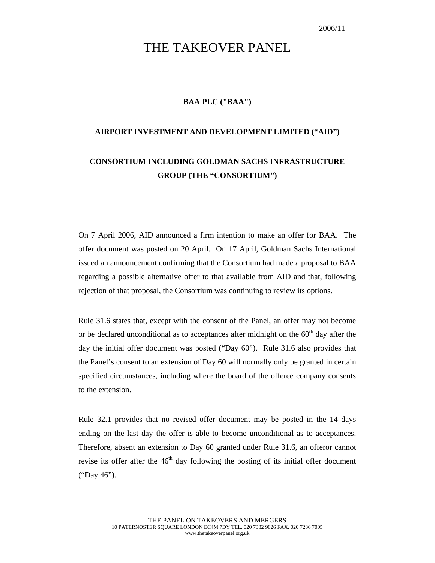## THE TAKEOVER PANEL

## **BAA PLC ("BAA")**

## **AIRPORT INVESTMENT AND DEVELOPMENT LIMITED ("AID")**

## **CONSORTIUM INCLUDING GOLDMAN SACHS INFRASTRUCTURE GROUP (THE "CONSORTIUM")**

On 7 April 2006, AID announced a firm intention to make an offer for BAA. The offer document was posted on 20 April. On 17 April, Goldman Sachs International issued an announcement confirming that the Consortium had made a proposal to BAA regarding a possible alternative offer to that available from AID and that, following rejection of that proposal, the Consortium was continuing to review its options.

Rule 31.6 states that, except with the consent of the Panel, an offer may not become or be declared unconditional as to acceptances after midnight on the  $60<sup>th</sup>$  day after the day the initial offer document was posted ("Day 60"). Rule 31.6 also provides that the Panel's consent to an extension of Day 60 will normally only be granted in certain specified circumstances, including where the board of the offeree company consents to the extension.

Rule 32.1 provides that no revised offer document may be posted in the 14 days ending on the last day the offer is able to become unconditional as to acceptances. Therefore, absent an extension to Day 60 granted under Rule 31.6, an offeror cannot revise its offer after the  $46<sup>th</sup>$  day following the posting of its initial offer document ("Day 46").